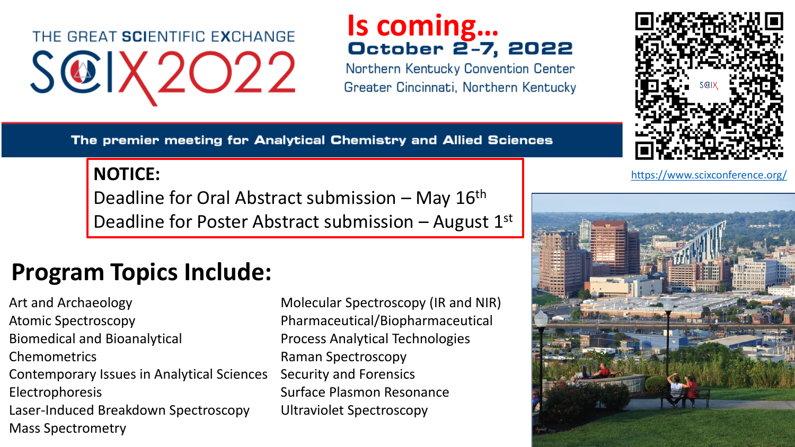# THE GREAT SCIENTIFIC EXCHANGE SCIX2022

# **Is coming…**

Northern Kentucky Convention Center Greater Cincinnati, Northern Kentucky

The premier meeting for Analytical Chemistry and Allied Sciences

Deadline for Oral Abstract submission – May 16th Deadline for Poster Abstract submission – August  $1<sup>st</sup>$ 

## **Program Topics Include:**

Art and Archaeology Atomic Spectroscopy Biomedical and Bioanalytical Chemometrics Contemporary Issues in Analytical Sciences Electrophoresis Laser-Induced Breakdown Spectroscopy Mass Spectrometry

Molecular Spectroscopy (IR and NIR) Pharmaceutical/Biopharmaceutical Process Analytical Technologies Raman Spectroscopy Security and Forensics Surface Plasmon Resonance Ultraviolet Spectroscopy





**NOTICE:** <https://www.scixconference.org/>